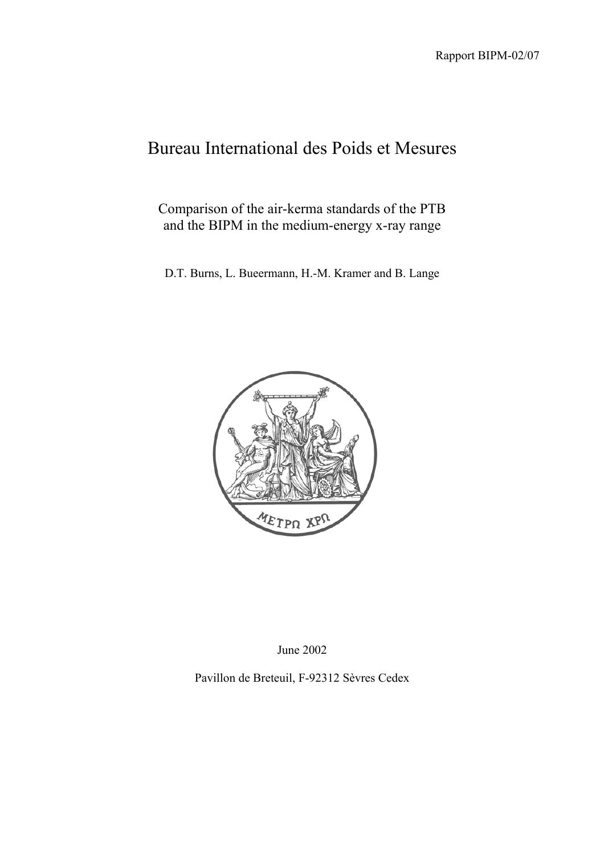# Bureau International des Poids et Mesures

Comparison of the air-kerma standards of the PTB and the BIPM in the medium-energy x-ray range

D.T. Burns, L. Bueermann, H.-M. Kramer and B. Lange



June 2002

Pavillon de Breteuil, F-92312 Sèvres Cedex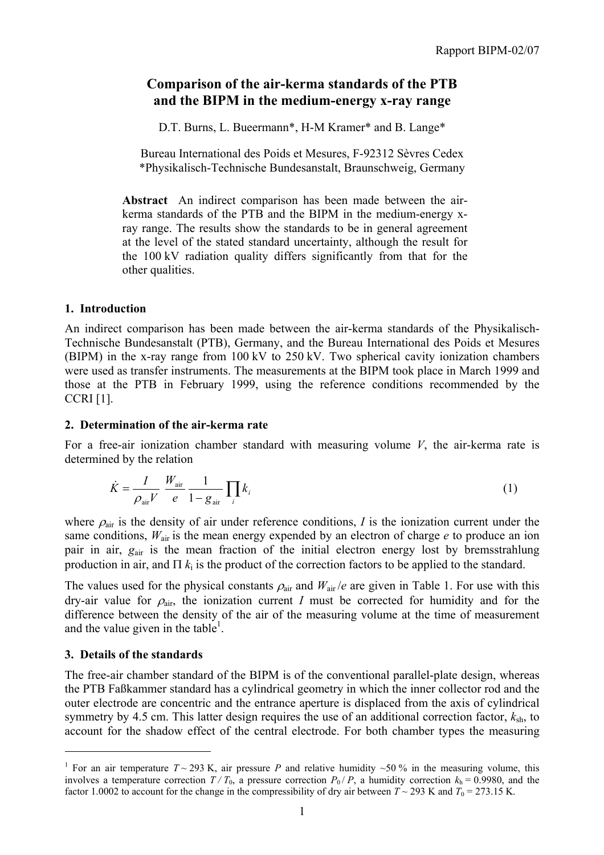# **Comparison of the air-kerma standards of the PTB and the BIPM in the medium-energy x-ray range**

D.T. Burns, L. Bueermann\*, H-M Kramer\* and B. Lange\*

Bureau International des Poids et Mesures, F-92312 Sèvres Cedex \*Physikalisch-Technische Bundesanstalt, Braunschweig, Germany

**Abstract** An indirect comparison has been made between the airkerma standards of the PTB and the BIPM in the medium-energy xray range. The results show the standards to be in general agreement at the level of the stated standard uncertainty, although the result for the 100 kV radiation quality differs significantly from that for the other qualities.

#### **1. Introduction**

An indirect comparison has been made between the air-kerma standards of the Physikalisch-Technische Bundesanstalt (PTB), Germany, and the Bureau International des Poids et Mesures (BIPM) in the x-ray range from 100 kV to 250 kV. Two spherical cavity ionization chambers were used as transfer instruments. The measurements at the BIPM took place in March 1999 and those at the PTB in February 1999, using the reference conditions recommended by the CCRI [1].

#### **2. Determination of the air-kerma rate**

For a free-air ionization chamber standard with measuring volume *V*, the air-kerma rate is determined by the relation

$$
\dot{K} = \frac{I}{\rho_{\text{air}} V} \frac{W_{\text{air}}}{e} \frac{1}{1 - g_{\text{air}}} \prod_{i} k_{i}
$$
\n(1)

where  $\rho_{\text{air}}$  is the density of air under reference conditions, *I* is the ionization current under the same conditions,  $W_{air}$  is the mean energy expended by an electron of charge *e* to produce an ion pair in air, *g*air is the mean fraction of the initial electron energy lost by bremsstrahlung production in air, and  $\Pi$   $k_i$  is the product of the correction factors to be applied to the standard.

The values used for the physical constants  $\rho_{air}$  and  $W_{air}/e$  are given in Table 1. For use with this dry-air value for  $\rho_{air}$ , the ionization current *I* must be corrected for humidity and for the difference between the density of the air of the measuring volume at the time of measurement and the value given in the table<sup>1</sup>.

#### **3. Details of the standards**

 $\overline{a}$ 

The free-air chamber standard of the BIPM is of the conventional parallel-plate design, whereas the PTB Faßkammer standard has a cylindrical geometry in which the inner collector rod and the outer electrode are concentric and the entrance aperture is displaced from the axis of cylindrical symmetry by 4.5 cm. This latter design requires the use of an additional correction factor,  $k_{sh}$ , to account for the shadow effect of the central electrode. For both chamber types the measuring

<sup>&</sup>lt;sup>1</sup> For an air temperature  $T \sim 293$  K, air pressure *P* and relative humidity  $\sim 50$  % in the measuring volume, this involves a temperature correction  $T/T_0$ , a pressure correction  $P_0/P$ , a humidity correction  $k_h = 0.9980$ , and the factor 1.0002 to account for the change in the compressibility of dry air between  $T \sim 293$  K and  $T_0 = 273.15$  K.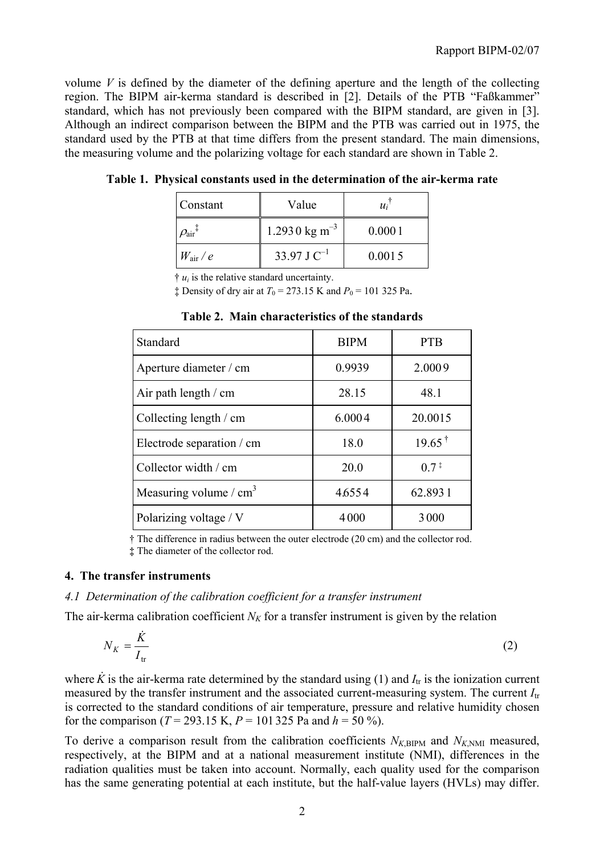volume  $V$  is defined by the diameter of the defining aperture and the length of the collecting region. The BIPM air-kerma standard is described in [2]. Details of the PTB "Faßkammer" standard, which has not previously been compared with the BIPM standard, are given in [3]. Although an indirect comparison between the BIPM and the PTB was carried out in 1975, the standard used by the PTB at that time differs from the present standard. The main dimensions, the measuring volume and the polarizing voltage for each standard are shown in Table 2.

| Constant                   | Value                     | $u_i$  |
|----------------------------|---------------------------|--------|
| $\mathit{O}_{\rm air}{}^*$ | 1.2930 kg m <sup>-3</sup> | 0.0001 |
| $W_{\rm air}$ / $e$        | 33.97 J $C^{-1}$          | 0.0015 |

**Table 1. Physical constants used in the determination of the air-kerma rate**

 $\dagger u_i$  is the relative standard uncertainty.

 $\ddagger$  Density of dry air at  $T_0 = 273.15$  K and  $P_0 = 101$  325 Pa.

| Standard                  | <b>BIPM</b> | <b>PTB</b>         |
|---------------------------|-------------|--------------------|
| Aperture diameter / cm    | 0.9939      | 2.0009             |
| Air path length $/$ cm    | 28.15       | 48.1               |
| Collecting length / cm    | 6.0004      | 20.0015            |
| Electrode separation / cm | 18.0        | $19.65^{\text{t}}$ |
| Collector width / cm      | 20.0        | $0.7^{\ddagger}$   |
| Measuring volume / $cm3$  | 4.6554      | 62.8931            |
| Polarizing voltage / V    | 4000        | 3000               |

**Table 2. Main characteristics of the standards**

† The difference in radius between the outer electrode (20 cm) and the collector rod. **‡** The diameter of the collector rod.

#### **4. The transfer instruments**

#### *4.1 Determination of the calibration coefficient for a transfer instrument*

The air-kerma calibration coefficient  $N_K$  for a transfer instrument is given by the relation

$$
N_K = \frac{\dot{K}}{I_{\text{tr}}} \tag{2}
$$

where  $\dot{K}$  is the air-kerma rate determined by the standard using (1) and  $I_{tr}$  is the ionization current measured by the transfer instrument and the associated current-measuring system. The current *I*tr is corrected to the standard conditions of air temperature, pressure and relative humidity chosen for the comparison ( $T = 293.15$  K,  $P = 101325$  Pa and  $h = 50\%$ ).

To derive a comparison result from the calibration coefficients  $N_{K,BIPM}$  and  $N_{K,NM}$  measured, respectively, at the BIPM and at a national measurement institute (NMI), differences in the radiation qualities must be taken into account. Normally, each quality used for the comparison has the same generating potential at each institute, but the half-value layers (HVLs) may differ.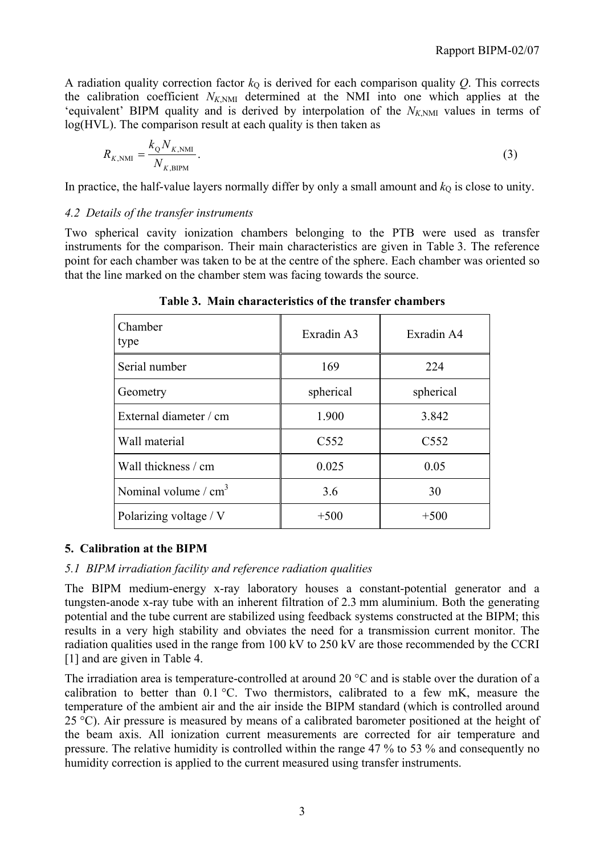A radiation quality correction factor  $k<sub>Q</sub>$  is derived for each comparison quality  $Q$ . This corrects the calibration coefficient  $N_{K,NM}$  determined at the NMI into one which applies at the 'equivalent' BIPM quality and is derived by interpolation of the  $N_{K,NMI}$  values in terms of log(HVL). The comparison result at each quality is then taken as

$$
R_{K,\text{NMI}} = \frac{k_{\text{Q}} N_{K,\text{NMI}}}{N_{K,\text{BIPM}}}.
$$
\n(3)

In practice, the half-value layers normally differ by only a small amount and  $k<sub>O</sub>$  is close to unity.

#### *4.2 Details of the transfer instruments*

Two spherical cavity ionization chambers belonging to the PTB were used as transfer instruments for the comparison. Their main characteristics are given in Table 3. The reference point for each chamber was taken to be at the centre of the sphere. Each chamber was oriented so that the line marked on the chamber stem was facing towards the source.

| Chamber<br>type        | Exradin A3       | Exradin A4       |
|------------------------|------------------|------------------|
| Serial number          | 169              | 224              |
| Geometry               | spherical        | spherical        |
| External diameter / cm | 1.900            | 3.842            |
| Wall material          | C <sub>552</sub> | C <sub>552</sub> |
| Wall thickness / cm    | 0.025            | 0.05             |
| Nominal volume $/cm3$  | 3.6              | 30               |
| Polarizing voltage / V | $+500$           | $+500$           |

**Table 3. Main characteristics of the transfer chambers**

## **5. Calibration at the BIPM**

#### *5.1 BIPM irradiation facility and reference radiation qualities*

The BIPM medium-energy x-ray laboratory houses a constant-potential generator and a tungsten-anode x-ray tube with an inherent filtration of 2.3 mm aluminium. Both the generating potential and the tube current are stabilized using feedback systems constructed at the BIPM; this results in a very high stability and obviates the need for a transmission current monitor. The radiation qualities used in the range from 100 kV to 250 kV are those recommended by the CCRI [1] and are given in Table 4.

The irradiation area is temperature-controlled at around 20 °C and is stable over the duration of a calibration to better than 0.1 °C. Two thermistors, calibrated to a few mK, measure the temperature of the ambient air and the air inside the BIPM standard (which is controlled around 25 °C). Air pressure is measured by means of a calibrated barometer positioned at the height of the beam axis. All ionization current measurements are corrected for air temperature and pressure. The relative humidity is controlled within the range 47 % to 53 % and consequently no humidity correction is applied to the current measured using transfer instruments.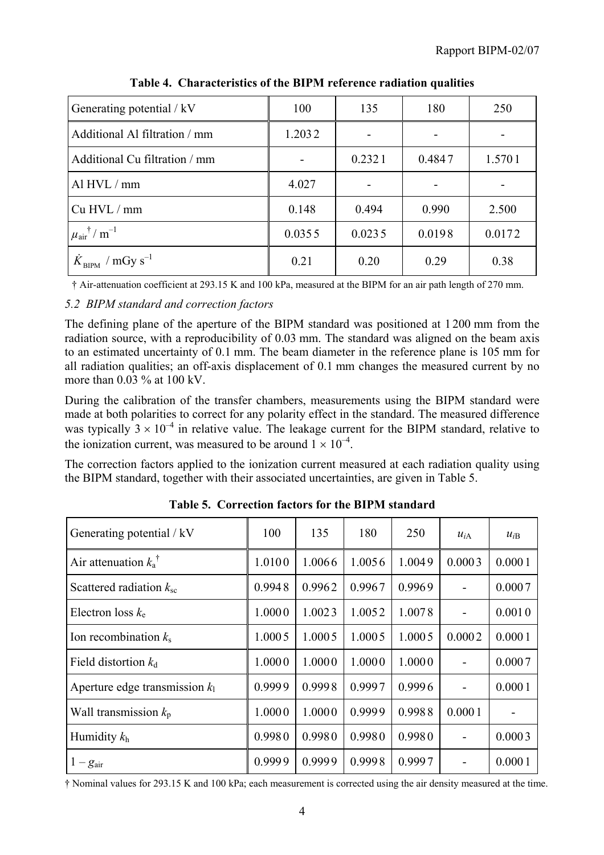| Generating potential / kV                           | 100    | 135    | 180    | 250    |
|-----------------------------------------------------|--------|--------|--------|--------|
| Additional Al filtration / mm                       | 1.2032 |        |        |        |
| Additional Cu filtration / mm                       |        | 0.2321 | 0.4847 | 1.5701 |
| Al HVL / mm                                         | 4.027  |        |        |        |
| Cu HVL / mm                                         | 0.148  | 0.494  | 0.990  | 2.500  |
| $\mu$ <sub>air</sub> <sup>†</sup> / m <sup>-1</sup> | 0.0355 | 0.0235 | 0.0198 | 0.0172 |
| $\dot{K}_{\text{BIPM}}$ / mGy s <sup>-1</sup>       | 0.21   | 0.20   | 0.29   | 0.38   |

**Table 4. Characteristics of the BIPM reference radiation qualities**

† Air-attenuation coefficient at 293.15 K and 100 kPa, measured at the BIPM for an air path length of 270 mm.

## *5.2 BIPM standard and correction factors*

The defining plane of the aperture of the BIPM standard was positioned at 1 200 mm from the radiation source, with a reproducibility of 0.03 mm. The standard was aligned on the beam axis to an estimated uncertainty of 0.1 mm. The beam diameter in the reference plane is 105 mm for all radiation qualities; an off-axis displacement of 0.1 mm changes the measured current by no more than  $0.03\%$  at  $100 \text{ kV}$ .

During the calibration of the transfer chambers, measurements using the BIPM standard were made at both polarities to correct for any polarity effect in the standard. The measured difference was typically  $3 \times 10^{-4}$  in relative value. The leakage current for the BIPM standard, relative to the ionization current, was measured to be around  $1 \times 10^{-4}$ .

The correction factors applied to the ionization current measured at each radiation quality using the BIPM standard, together with their associated uncertainties, are given in Table 5.

| Generating potential / kV        | 100    | 135    | 180    | 250    | $u_{iA}$ | $u_{iB}$ |
|----------------------------------|--------|--------|--------|--------|----------|----------|
| Air attenuation $k_a^{\dagger}$  | 1.0100 | 1.0066 | 1.0056 | 1.0049 | 0.0003   | 0.0001   |
| Scattered radiation $k_{\rm sc}$ | 0.9948 | 0.9962 | 0.9967 | 0.9969 |          | 0.0007   |
| Electron loss $k_e$              | 1.0000 | 1.0023 | 1.0052 | 1.0078 |          | 0.0010   |
| Ion recombination $k_s$          | 1.0005 | 1.0005 | 1.0005 | 1.0005 | 0.0002   | 0.0001   |
| Field distortion $k_d$           | 1.0000 | 1.0000 | 1.0000 | 1.0000 |          | 0.0007   |
| Aperture edge transmission $k_1$ | 0.9999 | 0.9998 | 0.9997 | 0.9996 |          | 0.0001   |
| Wall transmission $k_{p}$        | 1.0000 | 1.0000 | 0.9999 | 0.9988 | 0.0001   |          |
| Humidity $k_h$                   | 0.9980 | 0.9980 | 0.9980 | 0.9980 |          | 0.0003   |
| $1-g_{\text{air}}$               | 0.9999 | 0.9999 | 0.9998 | 0.9997 |          | 0.0001   |

**Table 5. Correction factors for the BIPM standard**

† Nominal values for 293.15 K and 100 kPa; each measurement is corrected using the air density measured at the time.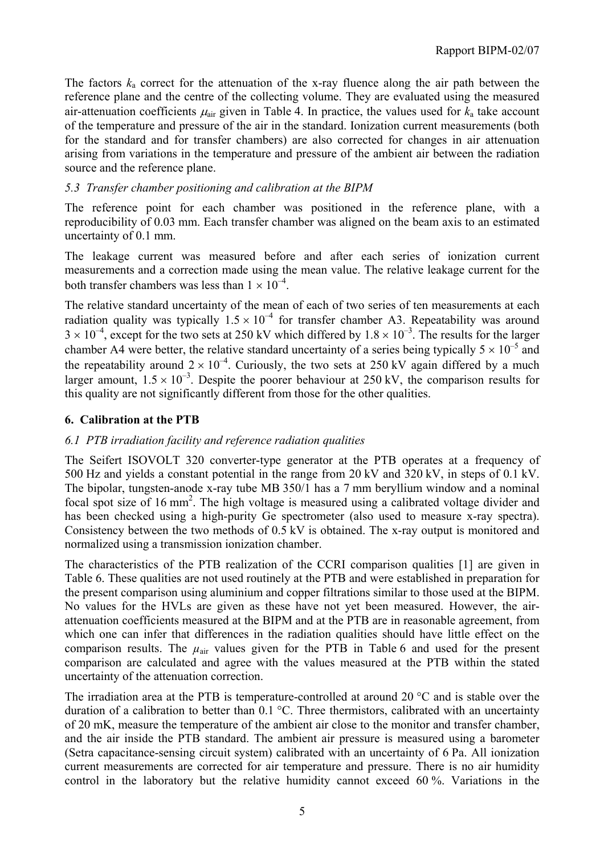The factors  $k_a$  correct for the attenuation of the x-ray fluence along the air path between the reference plane and the centre of the collecting volume. They are evaluated using the measured air-attenuation coefficients  $\mu_{air}$  given in Table 4. In practice, the values used for  $k_a$  take account of the temperature and pressure of the air in the standard. Ionization current measurements (both for the standard and for transfer chambers) are also corrected for changes in air attenuation arising from variations in the temperature and pressure of the ambient air between the radiation source and the reference plane.

## *5.3 Transfer chamber positioning and calibration at the BIPM*

The reference point for each chamber was positioned in the reference plane, with a reproducibility of 0.03 mm. Each transfer chamber was aligned on the beam axis to an estimated uncertainty of 0.1 mm.

The leakage current was measured before and after each series of ionization current measurements and a correction made using the mean value. The relative leakage current for the both transfer chambers was less than  $1 \times 10^{-4}$ .

The relative standard uncertainty of the mean of each of two series of ten measurements at each radiation quality was typically  $1.5 \times 10^{-4}$  for transfer chamber A3. Repeatability was around  $3 \times 10^{-4}$ , except for the two sets at 250 kV which differed by  $1.8 \times 10^{-3}$ . The results for the larger chamber A4 were better, the relative standard uncertainty of a series being typically  $5 \times 10^{-5}$  and the repeatability around  $2 \times 10^{-4}$ . Curiously, the two sets at 250 kV again differed by a much larger amount,  $1.5 \times 10^{-3}$ . Despite the poorer behaviour at 250 kV, the comparison results for this quality are not significantly different from those for the other qualities.

## **6. Calibration at the PTB**

## *6.1 PTB irradiation facility and reference radiation qualities*

The Seifert ISOVOLT 320 converter-type generator at the PTB operates at a frequency of 500 Hz and yields a constant potential in the range from 20 kV and 320 kV, in steps of 0.1 kV. The bipolar, tungsten-anode x-ray tube MB 350/1 has a 7 mm beryllium window and a nominal focal spot size of 16 mm<sup>2</sup>. The high voltage is measured using a calibrated voltage divider and has been checked using a high-purity Ge spectrometer (also used to measure x-ray spectra). Consistency between the two methods of 0.5 kV is obtained. The x-ray output is monitored and normalized using a transmission ionization chamber.

The characteristics of the PTB realization of the CCRI comparison qualities [1] are given in Table 6. These qualities are not used routinely at the PTB and were established in preparation for the present comparison using aluminium and copper filtrations similar to those used at the BIPM. No values for the HVLs are given as these have not yet been measured. However, the airattenuation coefficients measured at the BIPM and at the PTB are in reasonable agreement, from which one can infer that differences in the radiation qualities should have little effect on the comparison results. The  $\mu_{air}$  values given for the PTB in Table 6 and used for the present comparison are calculated and agree with the values measured at the PTB within the stated uncertainty of the attenuation correction.

The irradiation area at the PTB is temperature-controlled at around 20 °C and is stable over the duration of a calibration to better than 0.1 °C. Three thermistors, calibrated with an uncertainty of 20 mK, measure the temperature of the ambient air close to the monitor and transfer chamber, and the air inside the PTB standard. The ambient air pressure is measured using a barometer (Setra capacitance-sensing circuit system) calibrated with an uncertainty of 6 Pa. All ionization current measurements are corrected for air temperature and pressure. There is no air humidity control in the laboratory but the relative humidity cannot exceed 60 %. Variations in the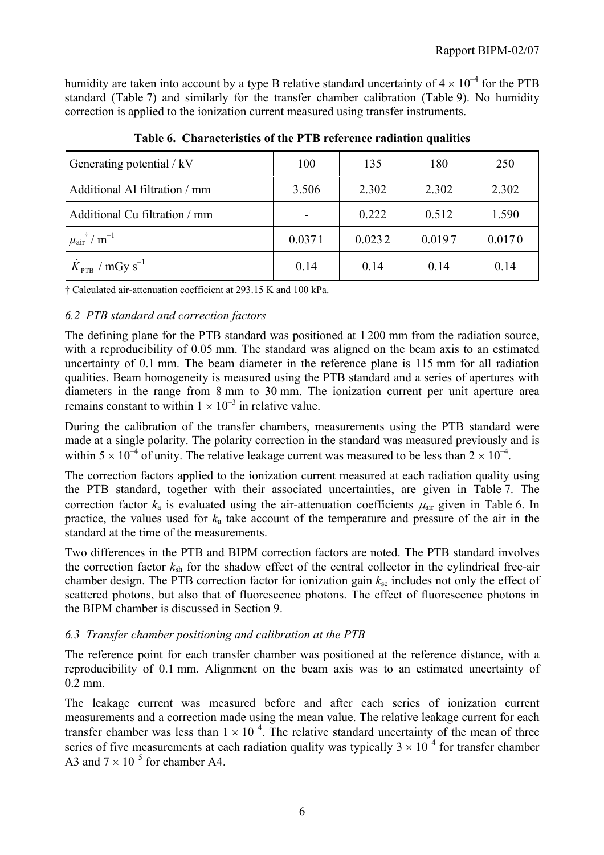humidity are taken into account by a type B relative standard uncertainty of  $4 \times 10^{-4}$  for the PTB standard (Table 7) and similarly for the transfer chamber calibration (Table 9). No humidity correction is applied to the ionization current measured using transfer instruments.

| Generating potential / kV                         | 100    | 135    | 180    | 250    |
|---------------------------------------------------|--------|--------|--------|--------|
| Additional Al filtration / mm                     | 3.506  | 2.302  | 2.302  | 2.302  |
| Additional Cu filtration / mm                     |        | 0.222  | 0.512  | 1.590  |
| $\mu_{\text{air}}$ <sup>†</sup> / m <sup>-1</sup> | 0.0371 | 0.0232 | 0.0197 | 0.0170 |
| $K_{\text{PTB}}$ / mGy s <sup>-1</sup>            | 0.14   | 0.14   | 0.14   | 0.14   |

**Table 6. Characteristics of the PTB reference radiation qualities**

† Calculated air-attenuation coefficient at 293.15 K and 100 kPa.

#### *6.2 PTB standard and correction factors*

The defining plane for the PTB standard was positioned at 1 200 mm from the radiation source, with a reproducibility of 0.05 mm. The standard was aligned on the beam axis to an estimated uncertainty of 0.1 mm. The beam diameter in the reference plane is 115 mm for all radiation qualities. Beam homogeneity is measured using the PTB standard and a series of apertures with diameters in the range from 8 mm to 30 mm. The ionization current per unit aperture area remains constant to within  $1 \times 10^{-3}$  in relative value.

During the calibration of the transfer chambers, measurements using the PTB standard were made at a single polarity. The polarity correction in the standard was measured previously and is within  $5 \times 10^{-4}$  of unity. The relative leakage current was measured to be less than  $2 \times 10^{-4}$ .

The correction factors applied to the ionization current measured at each radiation quality using the PTB standard, together with their associated uncertainties, are given in Table 7. The correction factor  $k_a$  is evaluated using the air-attenuation coefficients  $\mu_{air}$  given in Table 6. In practice, the values used for *k*a take account of the temperature and pressure of the air in the standard at the time of the measurements.

Two differences in the PTB and BIPM correction factors are noted. The PTB standard involves the correction factor  $k_{sh}$  for the shadow effect of the central collector in the cylindrical free-air chamber design. The PTB correction factor for ionization gain  $k_{\rm sc}$  includes not only the effect of scattered photons, but also that of fluorescence photons. The effect of fluorescence photons in the BIPM chamber is discussed in Section 9.

## *6.3 Transfer chamber positioning and calibration at the PTB*

The reference point for each transfer chamber was positioned at the reference distance, with a reproducibility of 0.1 mm. Alignment on the beam axis was to an estimated uncertainty of 0.2 mm.

The leakage current was measured before and after each series of ionization current measurements and a correction made using the mean value. The relative leakage current for each transfer chamber was less than  $1 \times 10^{-4}$ . The relative standard uncertainty of the mean of three series of five measurements at each radiation quality was typically  $3 \times 10^{-4}$  for transfer chamber A3 and  $7 \times 10^{-5}$  for chamber A4.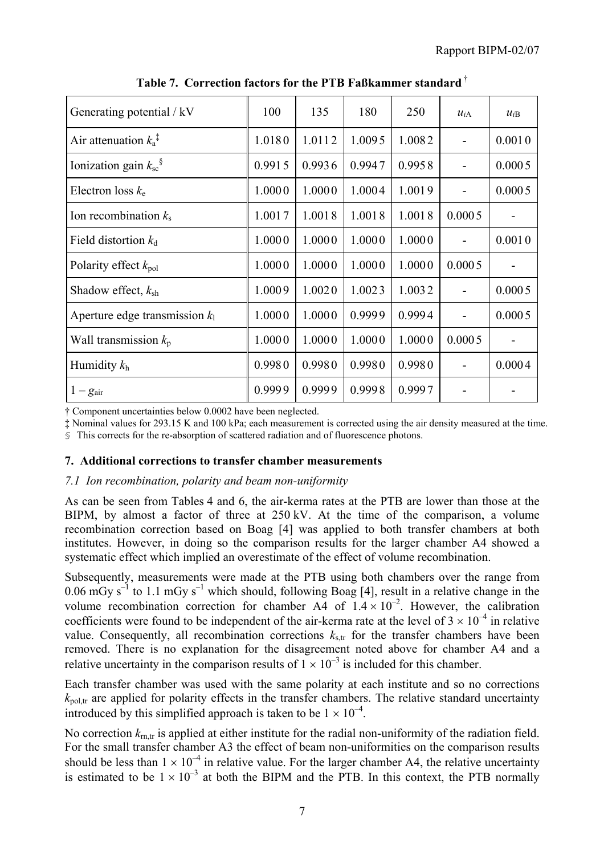| Generating potential / kV                 | 100    | 135    | 180    | 250    | $u_{iA}$ | $u_{iB}$ |
|-------------------------------------------|--------|--------|--------|--------|----------|----------|
| Air attenuation $k_a^{\dagger}$           | 1.0180 | 1.0112 | 1.0095 | 1.0082 |          | 0.0010   |
| Ionization gain $k_{\rm sc}$ <sup>§</sup> | 0.9915 | 0.9936 | 0.9947 | 0.9958 |          | 0.0005   |
| Electron loss $k_e$                       | 1.0000 | 1.0000 | 1.0004 | 1.0019 |          | 0.0005   |
| Ion recombination $k_s$                   | 1.0017 | 1.0018 | 1.0018 | 1.0018 | 0.0005   |          |
| Field distortion $k_d$                    | 1.0000 | 1.0000 | 1.0000 | 1.0000 |          | 0.0010   |
| Polarity effect $k_{pol}$                 | 1.0000 | 1.0000 | 1.0000 | 1.0000 | 0.0005   |          |
| Shadow effect, $k_{\rm sh}$               | 1.0009 | 1.0020 | 1.0023 | 1.0032 |          | 0.0005   |
| Aperture edge transmission $k_1$          | 1.0000 | 1.0000 | 0.9999 | 0.9994 |          | 0.0005   |
| Wall transmission $k_p$                   | 1.0000 | 1.0000 | 1.0000 | 1.0000 | 0.0005   |          |
| Humidity $k_h$                            | 0.9980 | 0.9980 | 0.9980 | 0.9980 |          | 0.0004   |
| $1-g_{\text{air}}$                        | 0.9999 | 0.9999 | 0.9998 | 0.9997 |          |          |

**Table 7. Correction factors for the PTB Faßkammer standard** †

† Component uncertainties below 0.0002 have been neglected.

‡ Nominal values for 293.15 K and 100 kPa; each measurement is corrected using the air density measured at the time.

§ This corrects for the re-absorption of scattered radiation and of fluorescence photons.

#### **7. Additional corrections to transfer chamber measurements**

#### *7.1 Ion recombination, polarity and beam non-uniformity*

As can be seen from Tables 4 and 6, the air-kerma rates at the PTB are lower than those at the BIPM, by almost a factor of three at 250 kV. At the time of the comparison, a volume recombination correction based on Boag [4] was applied to both transfer chambers at both institutes. However, in doing so the comparison results for the larger chamber A4 showed a systematic effect which implied an overestimate of the effect of volume recombination.

Subsequently, measurements were made at the PTB using both chambers over the range from 0.06 mGy s<sup>-1</sup> to 1.1 mGy s<sup>-1</sup> which should, following Boag [4], result in a relative change in the volume recombination correction for chamber A4 of  $1.4 \times 10^{-2}$ . However, the calibration coefficients were found to be independent of the air-kerma rate at the level of  $3 \times 10^{-4}$  in relative value. Consequently, all recombination corrections  $k_{s,tr}$  for the transfer chambers have been removed. There is no explanation for the disagreement noted above for chamber A4 and a relative uncertainty in the comparison results of  $1 \times 10^{-3}$  is included for this chamber.

Each transfer chamber was used with the same polarity at each institute and so no corrections  $k_{\text{pol tr}}$  are applied for polarity effects in the transfer chambers. The relative standard uncertainty introduced by this simplified approach is taken to be  $1 \times 10^{-4}$ .

No correction  $k_{\text{rn,tr}}$  is applied at either institute for the radial non-uniformity of the radiation field. For the small transfer chamber A3 the effect of beam non-uniformities on the comparison results should be less than  $1 \times 10^{-4}$  in relative value. For the larger chamber A4, the relative uncertainty is estimated to be  $1 \times 10^{-3}$  at both the BIPM and the PTB. In this context, the PTB normally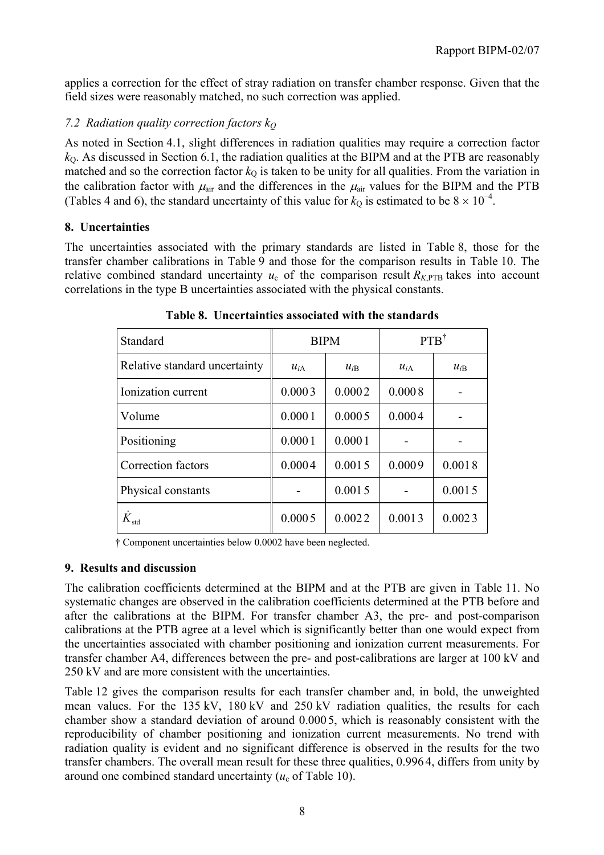applies a correction for the effect of stray radiation on transfer chamber response. Given that the field sizes were reasonably matched, no such correction was applied.

## *7.2 Radiation quality correction factors kQ*

As noted in Section 4.1, slight differences in radiation qualities may require a correction factor  $k<sub>0</sub>$ . As discussed in Section 6.1, the radiation qualities at the BIPM and at the PTB are reasonably matched and so the correction factor  $k_0$  is taken to be unity for all qualities. From the variation in the calibration factor with  $\mu_{air}$  and the differences in the  $\mu_{air}$  values for the BIPM and the PTB (Tables 4 and 6), the standard uncertainty of this value for  $k_0$  is estimated to be  $8 \times 10^{-4}$ .

## **8. Uncertainties**

The uncertainties associated with the primary standards are listed in Table 8, those for the transfer chamber calibrations in Table 9 and those for the comparison results in Table 10. The relative combined standard uncertainty  $u_c$  of the comparison result  $R_{K,PTB}$  takes into account correlations in the type B uncertainties associated with the physical constants.

| Standard                      |                      | <b>BIPM</b> | $PTB^{\dagger}$ |          |  |
|-------------------------------|----------------------|-------------|-----------------|----------|--|
| Relative standard uncertainty | $u_{iA}$<br>$u_{iB}$ |             | $u_{iA}$        | $u_{iB}$ |  |
| Ionization current            | 0.0003               | 0.0002      | 0.0008          |          |  |
| Volume                        | 0.0001               | 0.0005      | 0.0004          |          |  |
| Positioning                   | 0.0001               | 0.0001      |                 |          |  |
| Correction factors            | 0.0004               | 0.0015      | 0.0009          | 0.0018   |  |
| Physical constants            |                      | 0.0015      |                 | 0.0015   |  |
|                               | 0.0005               | 0.0022      | 0.0013          | 0.0023   |  |

**Table 8. Uncertainties associated with the standards**

† Component uncertainties below 0.0002 have been neglected.

## **9. Results and discussion**

The calibration coefficients determined at the BIPM and at the PTB are given in Table 11. No systematic changes are observed in the calibration coefficients determined at the PTB before and after the calibrations at the BIPM. For transfer chamber A3, the pre- and post-comparison calibrations at the PTB agree at a level which is significantly better than one would expect from the uncertainties associated with chamber positioning and ionization current measurements. For transfer chamber A4, differences between the pre- and post-calibrations are larger at 100 kV and 250 kV and are more consistent with the uncertainties.

Table 12 gives the comparison results for each transfer chamber and, in bold, the unweighted mean values. For the 135 kV, 180 kV and 250 kV radiation qualities, the results for each chamber show a standard deviation of around 0.000 5, which is reasonably consistent with the reproducibility of chamber positioning and ionization current measurements. No trend with radiation quality is evident and no significant difference is observed in the results for the two transfer chambers. The overall mean result for these three qualities, 0.996 4, differs from unity by around one combined standard uncertainty  $(u<sub>c</sub>$  of Table 10).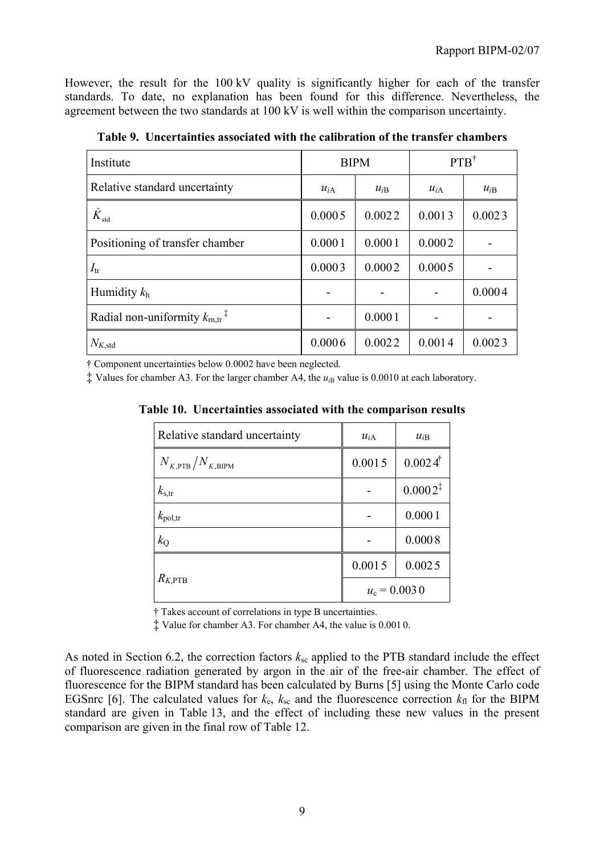However, the result for the 100 kV quality is significantly higher for each of the transfer standards. To date, no explanation has been found for this difference. Nevertheless, the agreement between the two standards at 100 kV is well within the comparison uncertainty.

| Institute                                             |          | <b>BIPM</b> | $PTB^{\dagger}$ |          |
|-------------------------------------------------------|----------|-------------|-----------------|----------|
| Relative standard uncertainty                         | $u_{iA}$ | $u_{iB}$    |                 | $u_{iB}$ |
| $\dot{K}_{\rm std}$                                   | 0.0005   | 0.0022      | 0.0013          | 0.0023   |
| Positioning of transfer chamber                       | 0.0001   | 0.0001      | 0.0002          |          |
| $I_{tr}$                                              | 0.0003   | 0.0002      | 0.0005          |          |
| Humidity $k_h$                                        |          |             |                 | 0.0004   |
| Radial non-uniformity $k_{\text{rn,tr}}$ <sup>7</sup> |          | 0.0001      |                 |          |
| $N_{K,\rm std}$                                       | 0.0006   | 0.0022      | 0.0014          | 0.0023   |

**Table 9. Uncertainties associated with the calibration of the transfer chambers**

† Component uncertainties below 0.0002 have been neglected.

 $\ddagger$  Values for chamber A3. For the larger chamber A4, the  $u_{iB}$  value is 0.0010 at each laboratory.

**Table 10. Uncertainties associated with the comparison results**

| Relative standard uncertainty  | $u_{iA}$       | $u_{iB}$              |  |
|--------------------------------|----------------|-----------------------|--|
| $N_{K,\rm PTB}/N_{K,\rm BIPM}$ | 0.0015         | $0.0024$ <sup>†</sup> |  |
| $k_{\rm s,tr}$                 |                | $0.0002^{\ddagger}$   |  |
| $k_{\text{pol,tr}}$            |                | 0.0001                |  |
| $k_{\rm Q}$                    |                | 0.0008                |  |
|                                | 0.0015         | 0.0025                |  |
| $R_{K,\mathrm{PTB}}$           | $u_c = 0.0030$ |                       |  |

† Takes account of correlations in type B uncertainties.

‡ Value for chamber A3. For chamber A4, the value is 0.001 0.

As noted in Section 6.2, the correction factors  $k_{\rm sc}$  applied to the PTB standard include the effect of fluorescence radiation generated by argon in the air of the free-air chamber. The effect of fluorescence for the BIPM standard has been calculated by Burns [5] using the Monte Carlo code EGSnrc [6]. The calculated values for  $k_e$ ,  $k_{sc}$  and the fluorescence correction  $k_{fl}$  for the BIPM standard are given in Table 13, and the effect of including these new values in the present comparison are given in the final row of Table 12.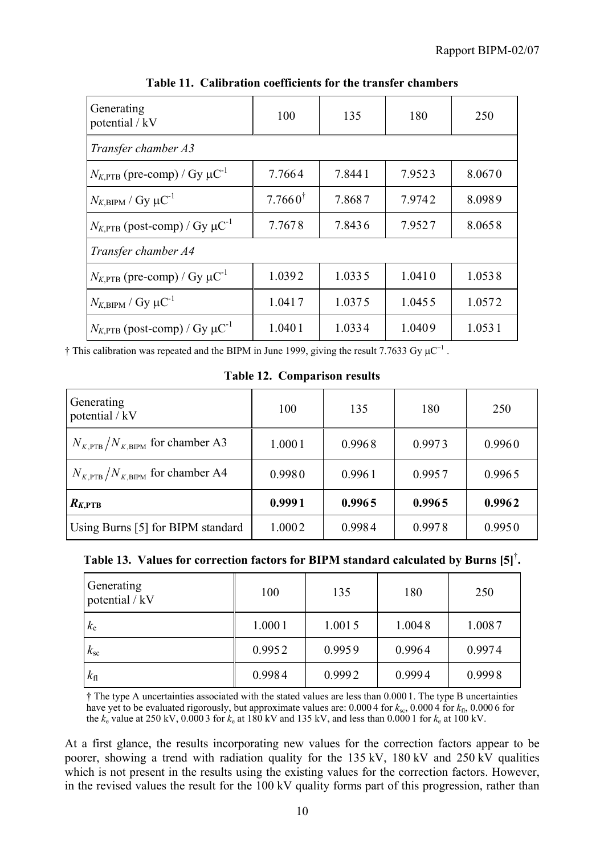| Generating<br>potential / kV                          | 100                | 135    | 180    | 250    |
|-------------------------------------------------------|--------------------|--------|--------|--------|
| Transfer chamber A3                                   |                    |        |        |        |
| $N_{K,\text{PTB}}$ (pre-comp) / Gy $\mu\text{C}^{-1}$ | 7.7664             | 7.8441 | 7.9523 | 8.0670 |
| $N_{K,\text{BIPM}}$ / Gy $\mu\text{C}^{-1}$           | $7.7660^{\dagger}$ | 7.8687 | 7.9742 | 8.0989 |
| $N_{K,PTB}$ (post-comp) / Gy $\mu$ C <sup>-1</sup>    | 7.7678             | 7.8436 | 7.9527 | 8.0658 |
| Transfer chamber A4                                   |                    |        |        |        |
| $N_{K,\text{PTB}}$ (pre-comp) / Gy $\mu\text{C}^{-1}$ | 1.0392             | 1.0335 | 1.0410 | 1.0538 |
| $N_{K,\text{BIPM}}$ / Gy $\mu\text{C}^{-1}$           | 1.0417             | 1.0375 | 1.0455 | 1.0572 |
| $N_{K,PTB}$ (post-comp) / Gy $\mu$ C <sup>-1</sup>    | 1.0401             | 1.0334 | 1.0409 | 1.0531 |

**Table 11. Calibration coefficients for the transfer chambers**

† This calibration was repeated and the BIPM in June 1999, giving the result 7.7633 Gy  $\mu$ C<sup>-1</sup>.

**Table 12. Comparison results**

| Generating<br>potential / kV                        | 100    | 135    | 180    | 250    |
|-----------------------------------------------------|--------|--------|--------|--------|
| $N_{K,\text{PTB}}/N_{K,\text{BIPM}}$ for chamber A3 | 1.0001 | 0.9968 | 0.9973 | 0.9960 |
| $N_{K,\text{PTB}}/N_{K,\text{BIPM}}$ for chamber A4 | 0.9980 | 0.9961 | 0.9957 | 0.9965 |
| $R_{K,\text{PTB}}$                                  | 0.9991 | 0.9965 | 0.9965 | 0.9962 |
| Using Burns [5] for BIPM standard                   | 1.0002 | 0.9984 | 0.9978 | 0.9950 |

# **Table 13. Values for correction factors for BIPM standard calculated by Burns [5]† .**

| Generating<br>potential / kV | 100    | 135    | 180    | 250    |
|------------------------------|--------|--------|--------|--------|
| $k_{\rm e}$                  | 1.0001 | 1.0015 | 1.0048 | 1.0087 |
| $k_{\rm sc}$                 | 0.9952 | 0.9959 | 0.9964 | 0.9974 |
| $k_{\rm fl}$                 | 0.9984 | 0.9992 | 0.9994 | 0.9998 |

† The type A uncertainties associated with the stated values are less than 0.000 1. The type B uncertainties have yet to be evaluated rigorously, but approximate values are:  $0.0004$  for  $k_{\rm sc}$ ,  $0.0004$  for  $k_{\rm fl}$ ,  $0.0006$  for the  $k_e$  value at 250 kV, 0.000 3 for  $k_e$  at 180 kV and 135 kV, and less than 0.000 1 for  $k_e$  at 100 kV.

At a first glance, the results incorporating new values for the correction factors appear to be poorer, showing a trend with radiation quality for the 135 kV, 180 kV and 250 kV qualities which is not present in the results using the existing values for the correction factors. However, in the revised values the result for the 100 kV quality forms part of this progression, rather than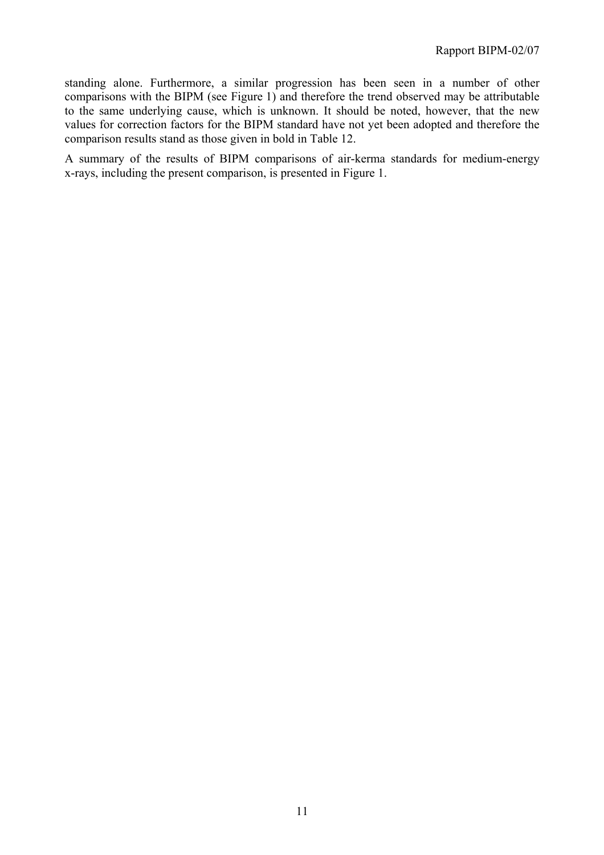standing alone. Furthermore, a similar progression has been seen in a number of other comparisons with the BIPM (see Figure 1) and therefore the trend observed may be attributable to the same underlying cause, which is unknown. It should be noted, however, that the new values for correction factors for the BIPM standard have not yet been adopted and therefore the comparison results stand as those given in bold in Table 12.

A summary of the results of BIPM comparisons of air-kerma standards for medium-energy x-rays, including the present comparison, is presented in Figure 1.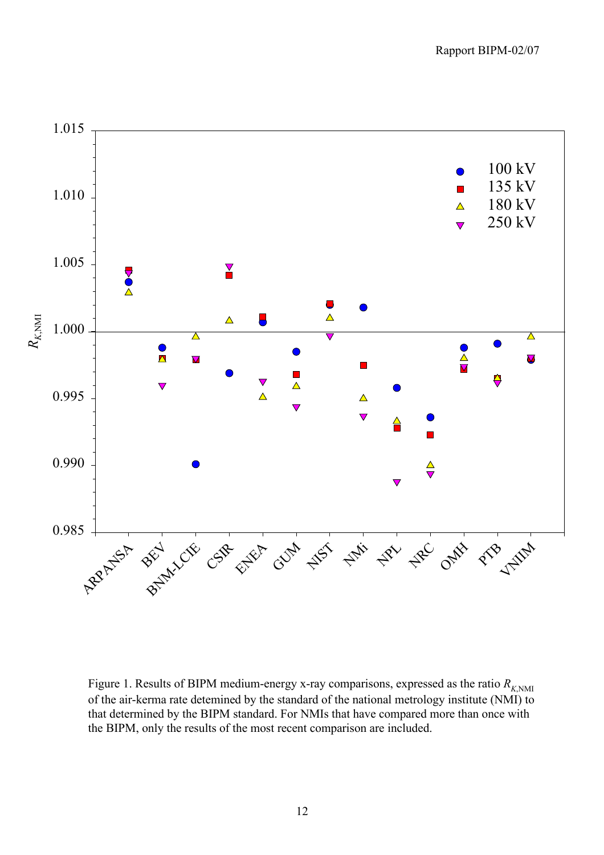

Figure 1. Results of BIPM medium-energy x-ray comparisons, expressed as the ratio  $R_{K>NMI}$ of the air-kerma rate detemined by the standard of the national metrology institute (NMI) to that determined by the BIPM standard. For NMIs that have compared more than once with the BIPM, only the results of the most recent comparison are included.